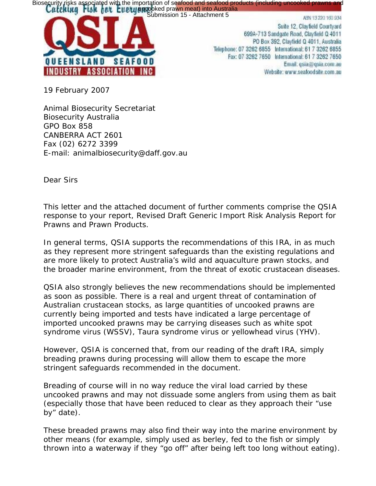Biosecurity risks associated with the importation of seafood and seafood products (including uncooked prawns and Catalachment 5<br>Submission 15 - Attachment 5 Max 13220160334



Suite 12. Clayfield Courtyard 699A-713 Sandgate Road, Clayfield Q 4011 PO Box 392, Clayfield Q 4011, Australia Telephone: 07 3262 6855 International: 61 7 3262 6855 Fax: 07 3262 7650 International: 61 7 3262 7650 Email: qsia@qsia.com.au Website: www.seafoodsite.com.au

19 February 2007

Animal Biosecurity Secretariat Biosecurity Australia GPO Box 858 CANBERRA ACT 2601 Fax (02) 6272 3399 E-mail: animalbiosecurity@daff.gov.au

Dear Sirs

This letter and the attached document of further comments comprise the QSIA response to your report, *Revised Draft Generic Import Risk Analysis Report for Prawns and Prawn Products*.

In general terms, QSIA supports the recommendations of this IRA, in as much as they represent more stringent safeguards than the existing regulations and are more likely to protect Australia's wild and aquaculture prawn stocks, and the broader marine environment, from the threat of exotic crustacean diseases.

QSIA also strongly believes the new recommendations should be implemented as soon as possible. There is a real and urgent threat of contamination of Australian crustacean stocks, as large quantities of uncooked prawns are currently being imported and tests have indicated a large percentage of imported uncooked prawns may be carrying diseases such as white spot syndrome virus (WSSV), Taura syndrome virus or yellowhead virus (YHV).

However, QSIA is concerned that, from our reading of the draft IRA, simply breading prawns during processing will allow them to escape the more stringent safeguards recommended in the document.

Breading of course will in no way reduce the viral load carried by these uncooked prawns and may not dissuade some anglers from using them as bait (especially those that have been reduced to clear as they approach their "use by" date).

These breaded prawns may also find their way into the marine environment by other means (for example, simply used as berley, fed to the fish or simply thrown into a waterway if they "go off" after being left too long without eating).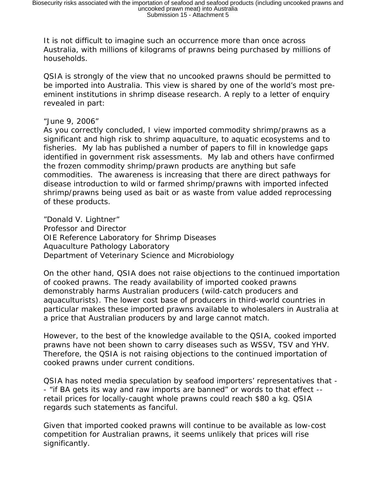It is not difficult to imagine such an occurrence more than once across Australia, with millions of kilograms of prawns being purchased by millions of households.

QSIA is strongly of the view that no uncooked prawns should be permitted to be imported into Australia. This view is shared by one of the world's most preeminent institutions in shrimp disease research. A reply to a letter of enquiry revealed in part:

## *"June 9, 2006"*

*As you correctly concluded, I view imported commodity shrimp/prawns as a significant and high risk to shrimp aquaculture, to aquatic ecosystems and to fisheries. My lab has published a number of papers to fill in knowledge gaps identified in government risk assessments. My lab and others have confirmed the frozen commodity shrimp/prawn products are anything but safe commodities. The awareness is increasing that there are direct pathways for disease introduction to wild or farmed shrimp/prawns with imported infected shrimp/prawns being used as bait or as waste from value added reprocessing of these products.* 

*"Donald V. Lightner" Professor and Director OIE Reference Laboratory for Shrimp Diseases Aquaculture Pathology Laboratory Department of Veterinary Science and Microbiology* 

On the other hand, QSIA does not raise objections to the continued importation of cooked prawns. The ready availability of imported cooked prawns demonstrably harms Australian producers (wild-catch producers and aquaculturists). The lower cost base of producers in third-world countries in particular makes these imported prawns available to wholesalers in Australia at a price that Australian producers by and large cannot match.

However, to the best of the knowledge available to the QSIA, cooked imported prawns have not been shown to carry diseases such as WSSV, TSV and YHV. Therefore, the QSIA is not raising objections to the continued importation of *cooked* prawns under current conditions.

QSIA has noted media speculation by seafood importers' representatives that - - "if BA gets its way and raw imports are banned" or words to that effect - retail prices for locally-caught whole prawns could reach \$80 a kg. QSIA regards such statements as fanciful.

Given that imported cooked prawns will continue to be available as low-cost competition for Australian prawns, it seems unlikely that prices will rise significantly.